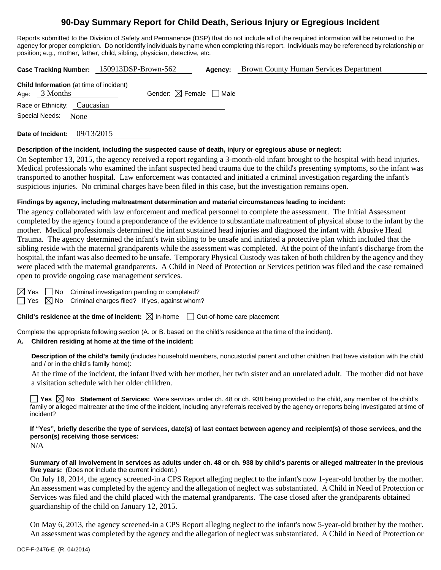## **90-Day Summary Report for Child Death, Serious Injury or Egregious Incident**

Reports submitted to the Division of Safety and Permanence (DSP) that do not include all of the required information will be returned to the agency for proper completion. Do not identify individuals by name when completing this report. Individuals may be referenced by relationship or position; e.g., mother, father, child, sibling, physician, detective, etc.

| Case Tracking Number: 150913DSP-Brown-562                         |      |                                        | Agency: | <b>Brown County Human Services Department</b> |
|-------------------------------------------------------------------|------|----------------------------------------|---------|-----------------------------------------------|
| <b>Child Information</b> (at time of incident)<br>Age: $3$ Months |      | Gender: $\boxtimes$ Female $\Box$ Male |         |                                               |
| Race or Ethnicity: Caucasian<br>Special Needs:                    | None |                                        |         |                                               |
|                                                                   |      |                                        |         |                                               |

**Date of Incident:** 09/13/2015

### **Description of the incident, including the suspected cause of death, injury or egregious abuse or neglect:**

On September 13, 2015, the agency received a report regarding a 3-month-old infant brought to the hospital with head injuries. Medical professionals who examined the infant suspected head trauma due to the child's presenting symptoms, so the infant was transported to another hospital. Law enforcement was contacted and initiated a criminal investigation regarding the infant's suspicious injuries. No criminal charges have been filed in this case, but the investigation remains open.

## **Findings by agency, including maltreatment determination and material circumstances leading to incident:**

The agency collaborated with law enforcement and medical personnel to complete the assessment. The Initial Assessment completed by the agency found a preponderance of the evidence to substantiate maltreatment of physical abuse to the infant by the mother. Medical professionals determined the infant sustained head injuries and diagnosed the infant with Abusive Head Trauma. The agency determined the infant's twin sibling to be unsafe and initiated a protective plan which included that the sibling reside with the maternal grandparents while the assessment was completed. At the point of the infant's discharge from the hospital, the infant was also deemed to be unsafe. Temporary Physical Custody was taken of both children by the agency and they were placed with the maternal grandparents. A Child in Need of Protection or Services petition was filed and the case remained open to provide ongoing case management services.

 $\Box$  No Criminal investigation pending or completed?

Yes  $\boxtimes$  No Criminal charges filed? If yes, against whom?

**Child's residence at the time of incident:** ⊠ In-home □ Out-of-home care placement

Complete the appropriate following section (A. or B. based on the child's residence at the time of the incident).

## **A. Children residing at home at the time of the incident:**

**Description of the child's family** (includes household members, noncustodial parent and other children that have visitation with the child and / or in the child's family home):

 At the time of the incident, the infant lived with her mother, her twin sister and an unrelated adult. The mother did not have a visitation schedule with her older children.

**Yes No Statement of Services:** Were services under ch. 48 or ch. 938 being provided to the child, any member of the child's family or alleged maltreater at the time of the incident, including any referrals received by the agency or reports being investigated at time of incident?

**If "Yes", briefly describe the type of services, date(s) of last contact between agency and recipient(s) of those services, and the person(s) receiving those services:** 

N/A

**Summary of all involvement in services as adults under ch. 48 or ch. 938 by child's parents or alleged maltreater in the previous five years:** (Does not include the current incident.)

On July 18, 2014, the agency screened-in a CPS Report alleging neglect to the infant's now 1-year-old brother by the mother. An assessment was completed by the agency and the allegation of neglect was substantiated. A Child in Need of Protection or Services was filed and the child placed with the maternal grandparents. The case closed after the grandparents obtained guardianship of the child on January 12, 2015.

On May 6, 2013, the agency screened-in a CPS Report alleging neglect to the infant's now 5-year-old brother by the mother. An assessment was completed by the agency and the allegation of neglect was substantiated. A Child in Need of Protection or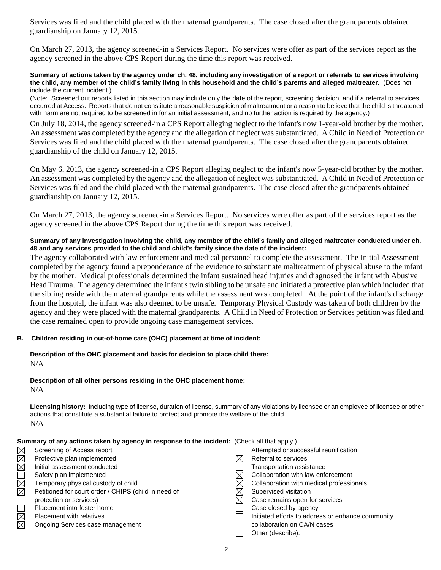Services was filed and the child placed with the maternal grandparents. The case closed after the grandparents obtained guardianship on January 12, 2015.

On March 27, 2013, the agency screened-in a Services Report. No services were offer as part of the services report as the agency screened in the above CPS Report during the time this report was received.

#### **Summary of actions taken by the agency under ch. 48, including any investigation of a report or referrals to services involving the child, any member of the child's family living in this household and the child's parents and alleged maltreater.** (Does not include the current incident.)

(Note: Screened out reports listed in this section may include only the date of the report, screening decision, and if a referral to services occurred at Access. Reports that do not constitute a reasonable suspicion of maltreatment or a reason to believe that the child is threatened with harm are not required to be screened in for an initial assessment, and no further action is required by the agency.)

On July 18, 2014, the agency screened-in a CPS Report alleging neglect to the infant's now 1-year-old brother by the mother. An assessment was completed by the agency and the allegation of neglect was substantiated. A Child in Need of Protection or Services was filed and the child placed with the maternal grandparents. The case closed after the grandparents obtained guardianship of the child on January 12, 2015.

On May 6, 2013, the agency screened-in a CPS Report alleging neglect to the infant's now 5-year-old brother by the mother. An assessment was completed by the agency and the allegation of neglect was substantiated. A Child in Need of Protection or Services was filed and the child placed with the maternal grandparents. The case closed after the grandparents obtained guardianship on January 12, 2015.

On March 27, 2013, the agency screened-in a Services Report. No services were offer as part of the services report as the agency screened in the above CPS Report during the time this report was received.

## **Summary of any investigation involving the child, any member of the child's family and alleged maltreater conducted under ch. 48 and any services provided to the child and child's family since the date of the incident:**

The agency collaborated with law enforcement and medical personnel to complete the assessment. The Initial Assessment completed by the agency found a preponderance of the evidence to substantiate maltreatment of physical abuse to the infant by the mother. Medical professionals determined the infant sustained head injuries and diagnosed the infant with Abusive Head Trauma. The agency determined the infant's twin sibling to be unsafe and initiated a protective plan which included that the sibling reside with the maternal grandparents while the assessment was completed. At the point of the infant's discharge from the hospital, the infant was also deemed to be unsafe. Temporary Physical Custody was taken of both children by the agency and they were placed with the maternal grandparents. A Child in Need of Protection or Services petition was filed and the case remained open to provide ongoing case management services.

## **B. Children residing in out-of-home care (OHC) placement at time of incident:**

# **Description of the OHC placement and basis for decision to place child there:**

N/A

#### **Description of all other persons residing in the OHC placement home:**  $N/A$

**Licensing history:** Including type of license, duration of license, summary of any violations by licensee or an employee of licensee or other actions that constitute a substantial failure to protect and promote the welfare of the child. N/A

|             | Summary of any actions taken by agency in response to the incident: (Check all that apply.) |  |                                                   |  |
|-------------|---------------------------------------------------------------------------------------------|--|---------------------------------------------------|--|
|             | Screening of Access report                                                                  |  | Attempted or successful reunification             |  |
| MMM         | Protective plan implemented                                                                 |  | Referral to services                              |  |
|             | Initial assessment conducted                                                                |  | Transportation assistance                         |  |
| MMOI        | Safety plan implemented                                                                     |  | Collaboration with law enforcement                |  |
|             | Temporary physical custody of child                                                         |  | Collaboration with medical professionals          |  |
|             | Petitioned for court order / CHIPS (child in need of                                        |  | Supervised visitation                             |  |
|             | protection or services)                                                                     |  | Case remains open for services                    |  |
|             | Placement into foster home                                                                  |  | Case closed by agency                             |  |
| $\boxtimes$ | <b>Placement with relatives</b>                                                             |  | Initiated efforts to address or enhance community |  |
|             | Ongoing Services case management                                                            |  | collaboration on CA/N cases                       |  |
|             |                                                                                             |  | Other (describe):                                 |  |